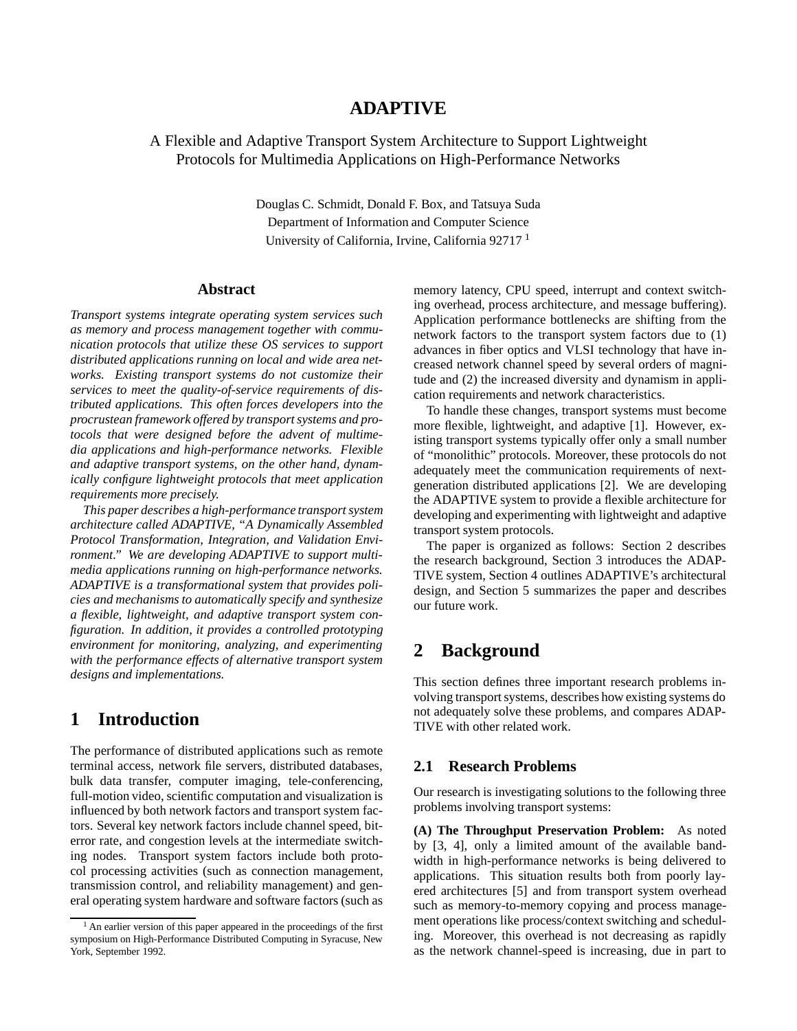## **ADAPTIVE**

### A Flexible and Adaptive Transport System Architecture to Support Lightweight Protocols for Multimedia Applications on High-Performance Networks

Douglas C. Schmidt, Donald F. Box, and Tatsuya Suda Department of Information and Computer Science University of California, Irvine, California 92717<sup>1</sup>

#### **Abstract**

*Transport systems integrate operating system services such as memory and process management together with communication protocols that utilize these OS services to support distributed applications running on local and wide area networks. Existing transport systems do not customize their services to meet the quality-of-service requirements of distributed applications. This often forces developers into the procrustean framework offered by transport systems and protocols that were designed before the advent of multimedia applications and high-performance networks. Flexible and adaptive transport systems, on the other hand, dynamically configure lightweight protocols that meet application requirements more precisely.*

*This paper describes a high-performance transport system architecture called ADAPTIVE, "A Dynamically Assembled Protocol Transformation, Integration, and Validation Environment." We are developing ADAPTIVE to support multimedia applications running on high-performance networks. ADAPTIVE is a transformational system that provides policies and mechanisms to automatically specify and synthesize a flexible, lightweight, and adaptive transport system configuration. In addition, it provides a controlled prototyping environment for monitoring, analyzing, and experimenting with the performance effects of alternative transport system designs and implementations.*

## **1 Introduction**

The performance of distributed applications such as remote terminal access, network file servers, distributed databases, bulk data transfer, computer imaging, tele-conferencing, full-motion video, scientific computation and visualization is influenced by both network factors and transport system factors. Several key network factors include channel speed, biterror rate, and congestion levels at the intermediate switching nodes. Transport system factors include both protocol processing activities (such as connection management, transmission control, and reliability management) and general operating system hardware and software factors (such as

memory latency, CPU speed, interrupt and context switching overhead, process architecture, and message buffering). Application performance bottlenecks are shifting from the network factors to the transport system factors due to (1) advances in fiber optics and VLSI technology that have increased network channel speed by several orders of magnitude and (2) the increased diversity and dynamism in application requirements and network characteristics.

To handle these changes, transport systems must become more flexible, lightweight, and adaptive [1]. However, existing transport systems typically offer only a small number of "monolithic" protocols. Moreover, these protocols do not adequately meet the communication requirements of nextgeneration distributed applications [2]. We are developing the ADAPTIVE system to provide a flexible architecture for developing and experimenting with lightweight and adaptive transport system protocols.

The paper is organized as follows: Section 2 describes the research background, Section 3 introduces the ADAP-TIVE system, Section 4 outlines ADAPTIVE's architectural design, and Section 5 summarizes the paper and describes our future work.

# **2 Background**

This section defines three important research problems involving transport systems, describes how existing systems do not adequately solve these problems, and compares ADAP-TIVE with other related work.

### **2.1 Research Problems**

Our research is investigating solutions to the following three problems involving transport systems:

**(A) The Throughput Preservation Problem:** As noted by [3, 4], only a limited amount of the available bandwidth in high-performance networks is being delivered to applications. This situation results both from poorly layered architectures [5] and from transport system overhead such as memory-to-memory copying and process management operations like process/context switching and scheduling. Moreover, this overhead is not decreasing as rapidly as the network channel-speed is increasing, due in part to

<sup>&</sup>lt;sup>1</sup> An earlier version of this paper appeared in the proceedings of the first symposium on High-Performance Distributed Computing in Syracuse, New York, September 1992.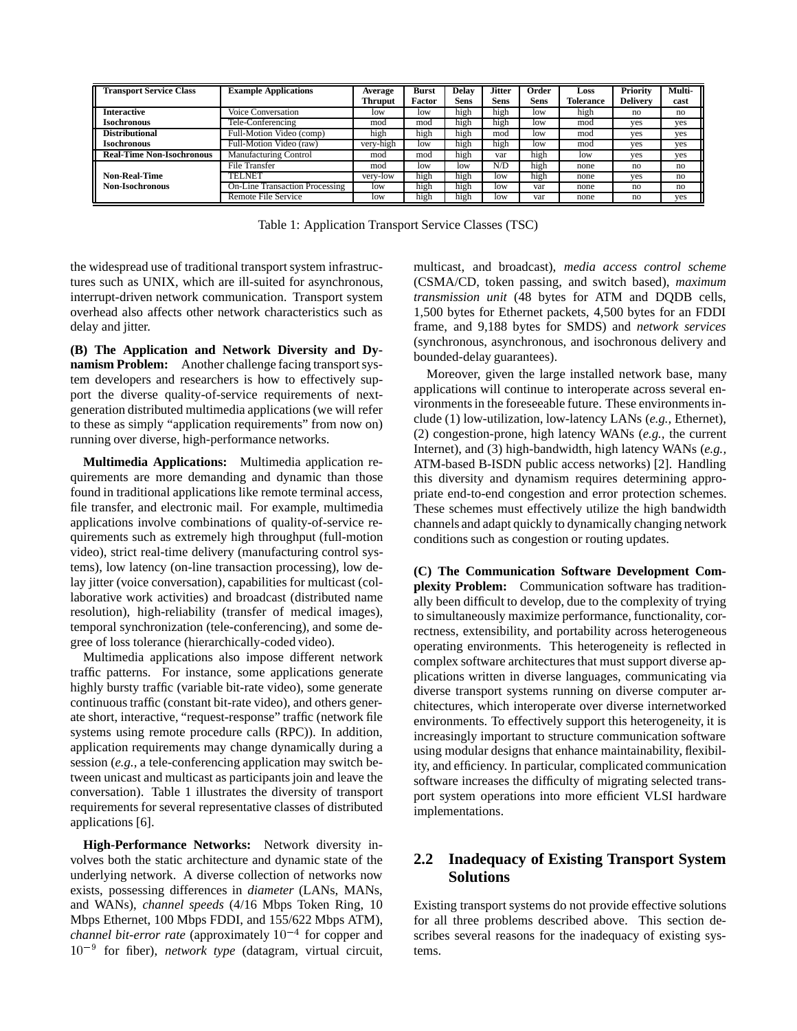| <b>Transport Service Class</b>   | <b>Example Applications</b>           | Average   | <b>Burst</b><br>Factor | <b>Delay</b><br>Sens | <b>Jitter</b><br><b>Sens</b> | Order<br><b>Sens</b> | Loss<br>Tolerance | <b>Priority</b><br><b>Delivery</b> | Multi- |
|----------------------------------|---------------------------------------|-----------|------------------------|----------------------|------------------------------|----------------------|-------------------|------------------------------------|--------|
|                                  |                                       | Thruput   |                        |                      |                              |                      |                   |                                    | cast   |
| <b>Interactive</b>               | Voice Conversation                    | low       | low                    | high                 | high                         | low                  | high              | no                                 | no     |
| <b>Isochronous</b>               | Tele-Conferencing                     | mod       | mod                    | high                 | high                         | low                  | mod               | yes                                | yes    |
| <b>Distributional</b>            | Full-Motion Video (comp)              | high      | high                   | high                 | mod                          | low                  | mod               | ves                                | yes    |
| <b>Isochronous</b>               | Full-Motion Video (raw)               | very-high | low                    | high                 | high                         | low                  | mod               | yes                                | yes    |
| <b>Real-Time Non-Isochronous</b> | <b>Manufacturing Control</b>          | mod       | mod                    | high                 | var                          | high                 | low               | yes                                | yes    |
|                                  | File Transfer                         | mod       | low                    | low                  | N/D                          | high                 | none              | no                                 | no     |
| <b>Non-Real-Time</b>             | TELNET                                | very-low  | high                   | high                 | low                          | high                 | none              | ves                                | no     |
| <b>Non-Isochronous</b>           | <b>On-Line Transaction Processing</b> | low       | high                   | high                 | low                          | var                  | none              | no                                 | no     |
|                                  | Remote File Service                   | low       | hıgh                   | high                 | low                          | var                  | none              | no                                 | yes    |

Table 1: Application Transport Service Classes (TSC)

the widespread use of traditional transport system infrastructures such as UNIX, which are ill-suited for asynchronous, interrupt-driven network communication. Transport system overhead also affects other network characteristics such as delay and jitter.

**(B) The Application and Network Diversity and Dynamism Problem:** Another challenge facing transport system developers and researchers is how to effectively support the diverse quality-of-service requirements of nextgeneration distributed multimedia applications (we will refer to these as simply "application requirements" from now on) running over diverse, high-performance networks.

**Multimedia Applications:** Multimedia application requirements are more demanding and dynamic than those found in traditional applications like remote terminal access, file transfer, and electronic mail. For example, multimedia applications involve combinations of quality-of-service requirements such as extremely high throughput (full-motion video), strict real-time delivery (manufacturing control systems), low latency (on-line transaction processing), low delay jitter (voice conversation), capabilities for multicast (collaborative work activities) and broadcast (distributed name resolution), high-reliability (transfer of medical images), temporal synchronization (tele-conferencing), and some degree of loss tolerance (hierarchically-coded video).

Multimedia applications also impose different network traffic patterns. For instance, some applications generate highly bursty traffic (variable bit-rate video), some generate continuous traffic (constant bit-rate video), and others generate short, interactive, "request-response" traffic (network file systems using remote procedure calls (RPC)). In addition, application requirements may change dynamically during a session (*e.g.,* a tele-conferencing application may switch between unicast and multicast as participants join and leave the conversation). Table 1 illustrates the diversity of transport requirements for several representative classes of distributed applications [6].

**High-Performance Networks:** Network diversity involves both the static architecture and dynamic state of the underlying network. A diverse collection of networks now exists, possessing differences in *diameter* (LANs, MANs, and WANs), *channel speeds* (4/16 Mbps Token Ring, 10 Mbps Ethernet, 100 Mbps FDDI, and 155/622 Mbps ATM), *channel bit-error rate* (approximately  $10^{-4}$  for copper and  $10^{-9}$  for fiber), *network type* (datagram, virtual circuit,

multicast, and broadcast), *media access control scheme* (CSMA/CD, token passing, and switch based), *maximum transmission unit* (48 bytes for ATM and DQDB cells, 1,500 bytes for Ethernet packets, 4,500 bytes for an FDDI frame, and 9,188 bytes for SMDS) and *network services* (synchronous, asynchronous, and isochronous delivery and bounded-delay guarantees).

Moreover, given the large installed network base, many applications will continue to interoperate across several environments in the foreseeable future. These environments include (1) low-utilization, low-latency LANs (*e.g.,* Ethernet), (2) congestion-prone, high latency WANs (*e.g.,* the current Internet), and (3) high-bandwidth, high latency WANs (*e.g.,* ATM-based B-ISDN public access networks) [2]. Handling this diversity and dynamism requires determining appropriate end-to-end congestion and error protection schemes. These schemes must effectively utilize the high bandwidth channels and adapt quickly to dynamically changing network conditions such as congestion or routing updates.

**(C) The Communication Software Development Complexity Problem:** Communication software has traditionally been difficult to develop, due to the complexity of trying to simultaneously maximize performance, functionality, correctness, extensibility, and portability across heterogeneous operating environments. This heterogeneity is reflected in complex software architectures that must support diverse applications written in diverse languages, communicating via diverse transport systems running on diverse computer architectures, which interoperate over diverse internetworked environments. To effectively support this heterogeneity, it is increasingly important to structure communication software using modular designs that enhance maintainability, flexibility, and efficiency. In particular, complicated communication software increases the difficulty of migrating selected transport system operations into more efficient VLSI hardware implementations.

### **2.2 Inadequacy of Existing Transport System Solutions**

Existing transport systems do not provide effective solutions for all three problems described above. This section describes several reasons for the inadequacy of existing systems.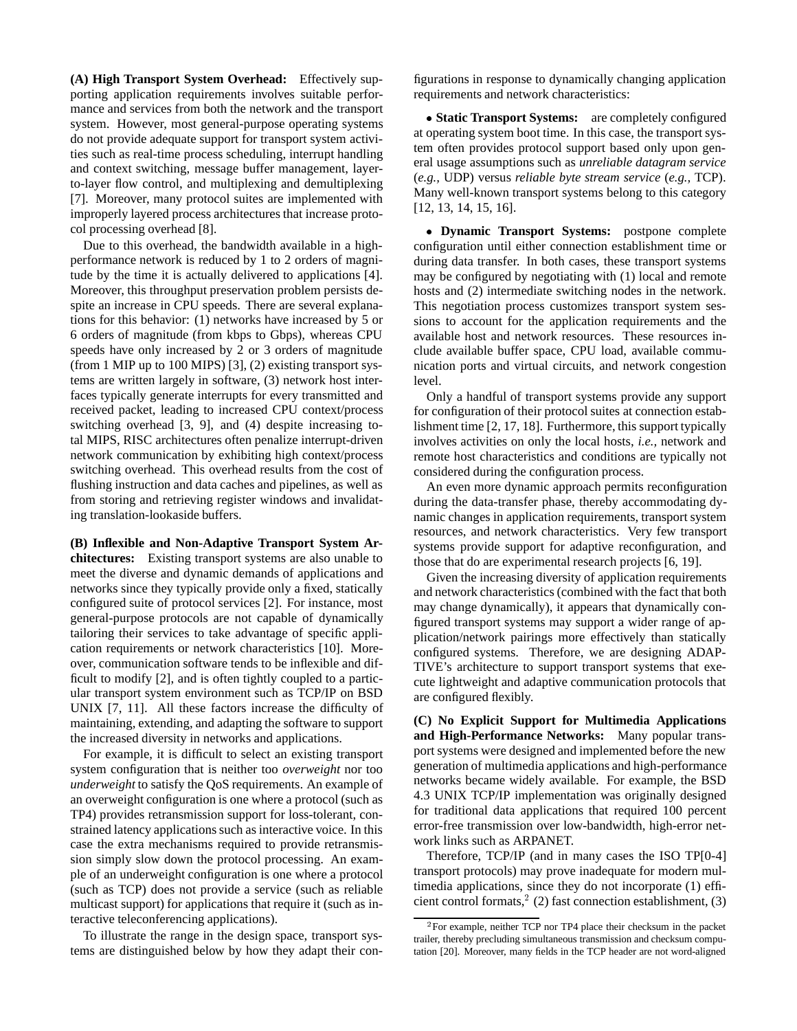**(A) High Transport System Overhead:** Effectively supporting application requirements involves suitable performance and services from both the network and the transport system. However, most general-purpose operating systems do not provide adequate support for transport system activities such as real-time process scheduling, interrupt handling and context switching, message buffer management, layerto-layer flow control, and multiplexing and demultiplexing [7]. Moreover, many protocol suites are implemented with improperly layered process architectures that increase protocol processing overhead [8].

Due to this overhead, the bandwidth available in a highperformance network is reduced by 1 to 2 orders of magnitude by the time it is actually delivered to applications [4]. Moreover, this throughput preservation problem persists despite an increase in CPU speeds. There are several explanations for this behavior: (1) networks have increased by 5 or 6 orders of magnitude (from kbps to Gbps), whereas CPU speeds have only increased by 2 or 3 orders of magnitude (from 1 MIP up to 100 MIPS) [3], (2) existing transport systems are written largely in software, (3) network host interfaces typically generate interrupts for every transmitted and received packet, leading to increased CPU context/process switching overhead [3, 9], and (4) despite increasing total MIPS, RISC architectures often penalize interrupt-driven network communication by exhibiting high context/process switching overhead. This overhead results from the cost of flushing instruction and data caches and pipelines, as well as from storing and retrieving register windows and invalidating translation-lookaside buffers.

**(B) Inflexible and Non-Adaptive Transport System Architectures:** Existing transport systems are also unable to meet the diverse and dynamic demands of applications and networks since they typically provide only a fixed, statically configured suite of protocol services [2]. For instance, most general-purpose protocols are not capable of dynamically tailoring their services to take advantage of specific application requirements or network characteristics [10]. Moreover, communication software tends to be inflexible and difficult to modify [2], and is often tightly coupled to a particular transport system environment such as TCP/IP on BSD UNIX [7, 11]. All these factors increase the difficulty of maintaining, extending, and adapting the software to support the increased diversity in networks and applications.

For example, it is difficult to select an existing transport system configuration that is neither too *overweight* nor too *underweight* to satisfy the QoS requirements. An example of an overweight configuration is one where a protocol (such as TP4) provides retransmission support for loss-tolerant, constrained latency applications such as interactive voice. In this case the extra mechanisms required to provide retransmission simply slow down the protocol processing. An example of an underweight configuration is one where a protocol (such as TCP) does not provide a service (such as reliable multicast support) for applications that require it (such as interactive teleconferencing applications).

To illustrate the range in the design space, transport systems are distinguished below by how they adapt their con-

figurations in response to dynamically changing application requirements and network characteristics:

 **Static Transport Systems:** are completely configured at operating system boot time. In this case, the transport system often provides protocol support based only upon general usage assumptions such as *unreliable datagram service* (*e.g.,* UDP) versus *reliable byte stream service* (*e.g.,* TCP). Many well-known transport systems belong to this category [12, 13, 14, 15, 16].

 **Dynamic Transport Systems:** postpone complete configuration until either connection establishment time or during data transfer. In both cases, these transport systems may be configured by negotiating with (1) local and remote hosts and (2) intermediate switching nodes in the network. This negotiation process customizes transport system sessions to account for the application requirements and the available host and network resources. These resources include available buffer space, CPU load, available communication ports and virtual circuits, and network congestion level.

Only a handful of transport systems provide any support for configuration of their protocol suites at connection establishment time [2, 17, 18]. Furthermore, this support typically involves activities on only the local hosts, *i.e.,* network and remote host characteristics and conditions are typically not considered during the configuration process.

An even more dynamic approach permits reconfiguration during the data-transfer phase, thereby accommodating dynamic changes in application requirements, transport system resources, and network characteristics. Very few transport systems provide support for adaptive reconfiguration, and those that do are experimental research projects [6, 19].

Given the increasing diversity of application requirements and network characteristics (combined with the fact that both may change dynamically), it appears that dynamically configured transport systems may support a wider range of application/network pairings more effectively than statically configured systems. Therefore, we are designing ADAP-TIVE's architecture to support transport systems that execute lightweight and adaptive communication protocols that are configured flexibly.

**(C) No Explicit Support for Multimedia Applications and High-Performance Networks:** Many popular transport systems were designed and implemented before the new generation of multimedia applications and high-performance networks became widely available. For example, the BSD 4.3 UNIX TCP/IP implementation was originally designed for traditional data applications that required 100 percent error-free transmission over low-bandwidth, high-error network links such as ARPANET.

Therefore, TCP/IP (and in many cases the ISO TP[0-4] transport protocols) may prove inadequate for modern multimedia applications, since they do not incorporate (1) efficient control formats,<sup>2</sup> (2) fast connection establishment, (3)

<sup>&</sup>lt;sup>2</sup> For example, neither TCP nor TP4 place their checksum in the packet trailer, thereby precluding simultaneous transmission and checksum computation [20]. Moreover, many fields in the TCP header are not word-aligned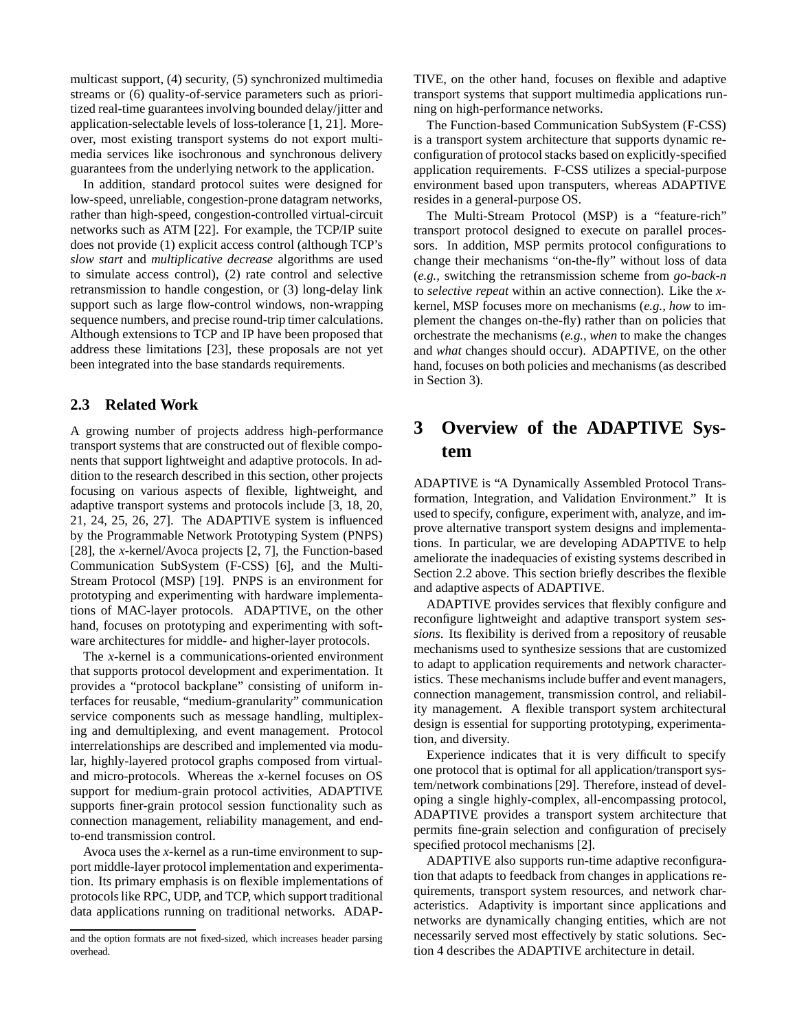multicast support, (4) security, (5) synchronized multimedia streams or (6) quality-of-service parameters such as prioritized real-time guarantees involving bounded delay/jitter and application-selectable levels of loss-tolerance [1, 21]. Moreover, most existing transport systems do not export multimedia services like isochronous and synchronous delivery guarantees from the underlying network to the application.

In addition, standard protocol suites were designed for low-speed, unreliable, congestion-prone datagram networks, rather than high-speed, congestion-controlled virtual-circuit networks such as ATM [22]. For example, the TCP/IP suite does not provide (1) explicit access control (although TCP's *slow start* and *multiplicative decrease* algorithms are used to simulate access control), (2) rate control and selective retransmission to handle congestion, or (3) long-delay link support such as large flow-control windows, non-wrapping sequence numbers, and precise round-trip timer calculations. Although extensions to TCP and IP have been proposed that address these limitations [23], these proposals are not yet been integrated into the base standards requirements.

### **2.3 Related Work**

A growing number of projects address high-performance transport systems that are constructed out of flexible components that support lightweight and adaptive protocols. In addition to the research described in this section, other projects focusing on various aspects of flexible, lightweight, and adaptive transport systems and protocols include [3, 18, 20, 21, 24, 25, 26, 27]. The ADAPTIVE system is influenced by the Programmable Network Prototyping System (PNPS) [28], the *x*-kernel/Avoca projects [2, 7], the Function-based Communication SubSystem (F-CSS) [6], and the Multi-Stream Protocol (MSP) [19]. PNPS is an environment for prototyping and experimenting with hardware implementations of MAC-layer protocols. ADAPTIVE, on the other hand, focuses on prototyping and experimenting with software architectures for middle- and higher-layer protocols.

The *x*-kernel is a communications-oriented environment that supports protocol development and experimentation. It provides a "protocol backplane" consisting of uniform interfaces for reusable, "medium-granularity" communication service components such as message handling, multiplexing and demultiplexing, and event management. Protocol interrelationships are described and implemented via modular, highly-layered protocol graphs composed from virtualand micro-protocols. Whereas the *x*-kernel focuses on OS support for medium-grain protocol activities, ADAPTIVE supports finer-grain protocol session functionality such as connection management, reliability management, and endto-end transmission control.

Avoca uses the *x*-kernel as a run-time environment to support middle-layer protocol implementation and experimentation. Its primary emphasis is on flexible implementations of protocols like RPC, UDP, and TCP, which support traditional data applications running on traditional networks. ADAP-

TIVE, on the other hand, focuses on flexible and adaptive transport systems that support multimedia applications running on high-performance networks.

The Function-based Communication SubSystem (F-CSS) is a transport system architecture that supports dynamic reconfiguration of protocol stacks based on explicitly-specified application requirements. F-CSS utilizes a special-purpose environment based upon transputers, whereas ADAPTIVE resides in a general-purpose OS.

The Multi-Stream Protocol (MSP) is a "feature-rich" transport protocol designed to execute on parallel processors. In addition, MSP permits protocol configurations to change their mechanisms "on-the-fly" without loss of data (*e.g.,* switching the retransmission scheme from *go-back-n* to *selective repeat* within an active connection). Like the *x*kernel, MSP focuses more on mechanisms (*e.g., how* to implement the changes on-the-fly) rather than on policies that orchestrate the mechanisms (*e.g., when* to make the changes and *what* changes should occur). ADAPTIVE, on the other hand, focuses on both policies and mechanisms (as described in Section 3).

# **3 Overview of the ADAPTIVE System**

ADAPTIVE is "A Dynamically Assembled Protocol Transformation, Integration, and Validation Environment." It is used to specify, configure, experiment with, analyze, and improve alternative transport system designs and implementations. In particular, we are developing ADAPTIVE to help ameliorate the inadequacies of existing systems described in Section 2.2 above. This section briefly describes the flexible and adaptive aspects of ADAPTIVE.

ADAPTIVE provides services that flexibly configure and reconfigure lightweight and adaptive transport system *sessions*. Its flexibility is derived from a repository of reusable mechanisms used to synthesize sessions that are customized to adapt to application requirements and network characteristics. These mechanisms include buffer and event managers, connection management, transmission control, and reliability management. A flexible transport system architectural design is essential for supporting prototyping, experimentation, and diversity.

Experience indicates that it is very difficult to specify one protocol that is optimal for all application/transport system/network combinations [29]. Therefore, instead of developing a single highly-complex, all-encompassing protocol, ADAPTIVE provides a transport system architecture that permits fine-grain selection and configuration of precisely specified protocol mechanisms [2].

ADAPTIVE also supports run-time adaptive reconfiguration that adapts to feedback from changes in applications requirements, transport system resources, and network characteristics. Adaptivity is important since applications and networks are dynamically changing entities, which are not necessarily served most effectively by static solutions. Section 4 describes the ADAPTIVE architecture in detail.

and the option formats are not fixed-sized, which increases header parsing overhead.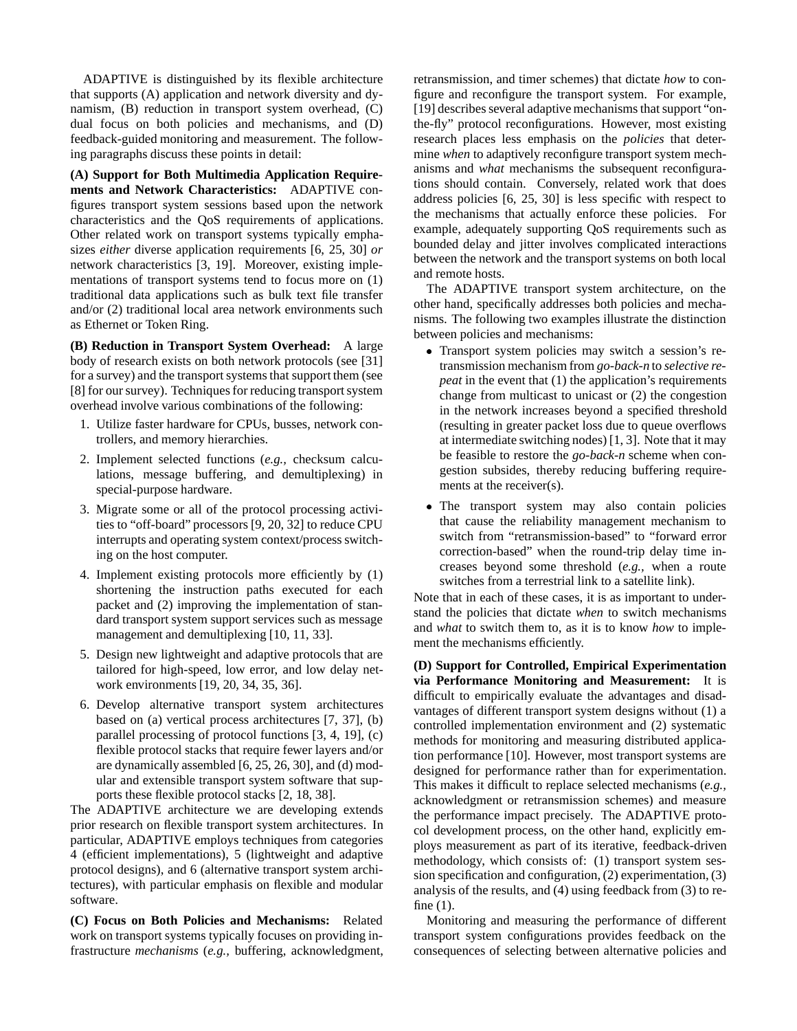ADAPTIVE is distinguished by its flexible architecture that supports (A) application and network diversity and dynamism, (B) reduction in transport system overhead, (C) dual focus on both policies and mechanisms, and (D) feedback-guided monitoring and measurement. The following paragraphs discuss these points in detail:

**(A) Support for Both Multimedia Application Requirements and Network Characteristics:** ADAPTIVE configures transport system sessions based upon the network characteristics and the QoS requirements of applications. Other related work on transport systems typically emphasizes *either* diverse application requirements [6, 25, 30] *or* network characteristics [3, 19]. Moreover, existing implementations of transport systems tend to focus more on (1) traditional data applications such as bulk text file transfer and/or (2) traditional local area network environments such as Ethernet or Token Ring.

**(B) Reduction in Transport System Overhead:** A large body of research exists on both network protocols (see [31] for a survey) and the transport systems that support them (see [8] for our survey). Techniques for reducing transport system overhead involve various combinations of the following:

- 1. Utilize faster hardware for CPUs, busses, network controllers, and memory hierarchies.
- 2. Implement selected functions (*e.g.,* checksum calculations, message buffering, and demultiplexing) in special-purpose hardware.
- 3. Migrate some or all of the protocol processing activities to "off-board" processors [9, 20, 32] to reduce CPU interrupts and operating system context/process switching on the host computer.
- 4. Implement existing protocols more efficiently by (1) shortening the instruction paths executed for each packet and (2) improving the implementation of standard transport system support services such as message management and demultiplexing [10, 11, 33].
- 5. Design new lightweight and adaptive protocols that are tailored for high-speed, low error, and low delay network environments [19, 20, 34, 35, 36].
- 6. Develop alternative transport system architectures based on (a) vertical process architectures [7, 37], (b) parallel processing of protocol functions [3, 4, 19], (c) flexible protocol stacks that require fewer layers and/or are dynamically assembled [6, 25, 26, 30], and (d) modular and extensible transport system software that supports these flexible protocol stacks [2, 18, 38].

The ADAPTIVE architecture we are developing extends prior research on flexible transport system architectures. In particular, ADAPTIVE employs techniques from categories 4 (efficient implementations), 5 (lightweight and adaptive protocol designs), and 6 (alternative transport system architectures), with particular emphasis on flexible and modular software.

**(C) Focus on Both Policies and Mechanisms:** Related work on transport systems typically focuses on providing infrastructure *mechanisms* (*e.g.,* buffering, acknowledgment, retransmission, and timer schemes) that dictate *how* to configure and reconfigure the transport system. For example, [19] describes several adaptive mechanisms that support "onthe-fly" protocol reconfigurations. However, most existing research places less emphasis on the *policies* that determine *when* to adaptively reconfigure transport system mechanisms and *what* mechanisms the subsequent reconfigurations should contain. Conversely, related work that does address policies [6, 25, 30] is less specific with respect to the mechanisms that actually enforce these policies. For example, adequately supporting QoS requirements such as bounded delay and jitter involves complicated interactions between the network and the transport systems on both local and remote hosts.

The ADAPTIVE transport system architecture, on the other hand, specifically addresses both policies and mechanisms. The following two examples illustrate the distinction between policies and mechanisms:

- Transport system policies may switch a session's retransmission mechanism from *go-back-n* to *selective repeat* in the event that (1) the application's requirements change from multicast to unicast or (2) the congestion in the network increases beyond a specified threshold (resulting in greater packet loss due to queue overflows at intermediate switching nodes) [1, 3]. Note that it may be feasible to restore the *go-back-n* scheme when congestion subsides, thereby reducing buffering requirements at the receiver(s).
- The transport system may also contain policies that cause the reliability management mechanism to switch from "retransmission-based" to "forward error correction-based" when the round-trip delay time increases beyond some threshold (*e.g.,* when a route switches from a terrestrial link to a satellite link).

Note that in each of these cases, it is as important to understand the policies that dictate *when* to switch mechanisms and *what* to switch them to, as it is to know *how* to implement the mechanisms efficiently.

**(D) Support for Controlled, Empirical Experimentation via Performance Monitoring and Measurement:** It is difficult to empirically evaluate the advantages and disadvantages of different transport system designs without (1) a controlled implementation environment and (2) systematic methods for monitoring and measuring distributed application performance [10]. However, most transport systems are designed for performance rather than for experimentation. This makes it difficult to replace selected mechanisms (*e.g.,* acknowledgment or retransmission schemes) and measure the performance impact precisely. The ADAPTIVE protocol development process, on the other hand, explicitly employs measurement as part of its iterative, feedback-driven methodology, which consists of: (1) transport system session specification and configuration, (2) experimentation, (3) analysis of the results, and (4) using feedback from (3) to refine (1).

Monitoring and measuring the performance of different transport system configurations provides feedback on the consequences of selecting between alternative policies and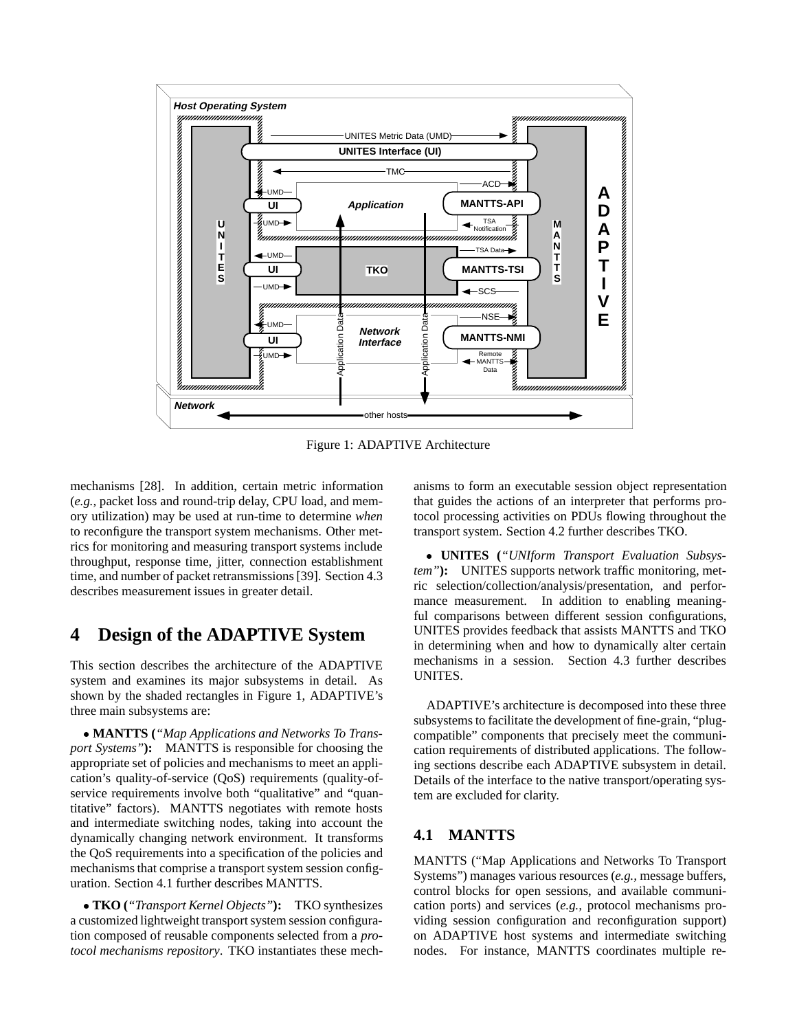

Figure 1: ADAPTIVE Architecture

mechanisms [28]. In addition, certain metric information (*e.g.,* packet loss and round-trip delay, CPU load, and memory utilization) may be used at run-time to determine *when* to reconfigure the transport system mechanisms. Other metrics for monitoring and measuring transport systems include throughput, response time, jitter, connection establishment time, and number of packet retransmissions [39]. Section 4.3 describes measurement issues in greater detail.

### **4 Design of the ADAPTIVE System**

This section describes the architecture of the ADAPTIVE system and examines its major subsystems in detail. As shown by the shaded rectangles in Figure 1, ADAPTIVE's three main subsystems are:

 **MANTTS (***"Map Applications and Networks To Transport Systems"***):** MANTTS is responsible for choosing the appropriate set of policies and mechanisms to meet an application's quality-of-service (QoS) requirements (quality-ofservice requirements involve both "qualitative" and "quantitative" factors). MANTTS negotiates with remote hosts and intermediate switching nodes, taking into account the dynamically changing network environment. It transforms the QoS requirements into a specification of the policies and mechanisms that comprise a transport system session configuration. Section 4.1 further describes MANTTS.

 **TKO (***"Transport Kernel Objects"***):** TKO synthesizes a customized lightweight transport system session configuration composed of reusable components selected from a *protocol mechanisms repository*. TKO instantiates these mechanisms to form an executable session object representation that guides the actions of an interpreter that performs protocol processing activities on PDUs flowing throughout the transport system. Section 4.2 further describes TKO.

 **UNITES (***"UNIform Transport Evaluation Subsystem"***):** UNITES supports network traffic monitoring, metric selection/collection/analysis/presentation, and performance measurement. In addition to enabling meaningful comparisons between different session configurations, UNITES provides feedback that assists MANTTS and TKO in determining when and how to dynamically alter certain mechanisms in a session. Section 4.3 further describes UNITES.

ADAPTIVE's architecture is decomposed into these three subsystems to facilitate the development of fine-grain, "plugcompatible" components that precisely meet the communication requirements of distributed applications. The following sections describe each ADAPTIVE subsystem in detail. Details of the interface to the native transport/operating system are excluded for clarity.

### **4.1 MANTTS**

MANTTS ("Map Applications and Networks To Transport Systems") manages various resources (*e.g.,* message buffers, control blocks for open sessions, and available communication ports) and services (*e.g.,* protocol mechanisms providing session configuration and reconfiguration support) on ADAPTIVE host systems and intermediate switching nodes. For instance, MANTTS coordinates multiple re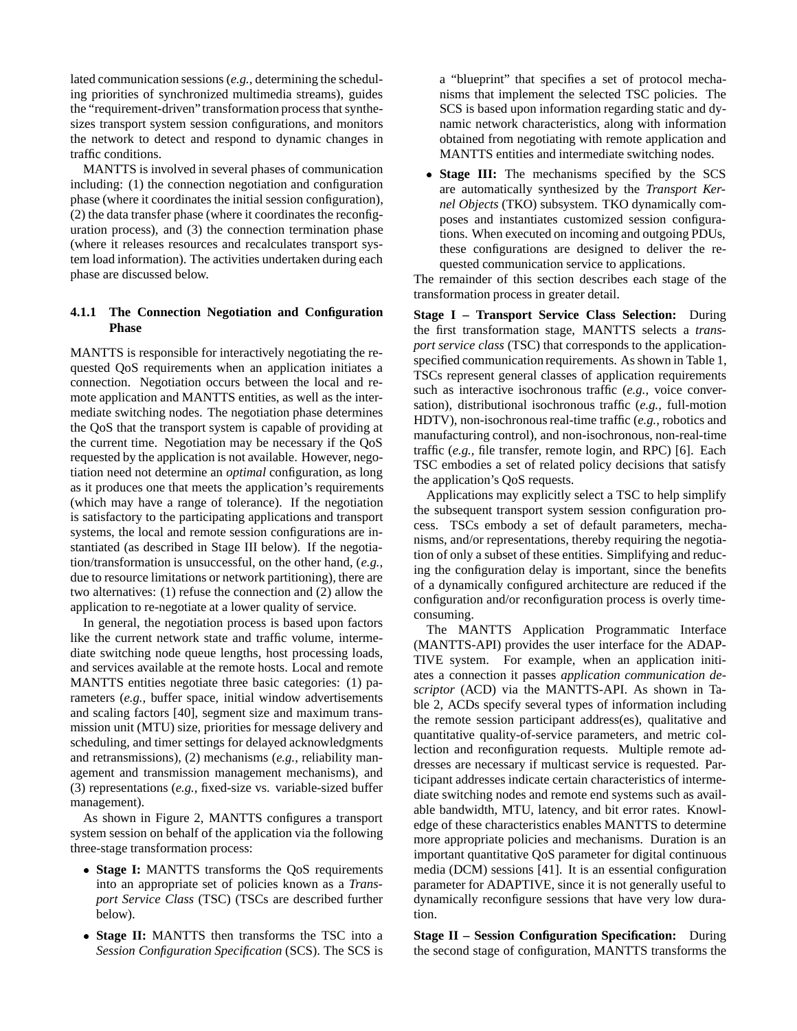lated communication sessions (*e.g.,* determining the scheduling priorities of synchronized multimedia streams), guides the "requirement-driven"transformation process that synthesizes transport system session configurations, and monitors the network to detect and respond to dynamic changes in traffic conditions.

MANTTS is involved in several phases of communication including: (1) the connection negotiation and configuration phase (where it coordinates the initial session configuration), (2) the data transfer phase (where it coordinates the reconfiguration process), and (3) the connection termination phase (where it releases resources and recalculates transport system load information). The activities undertaken during each phase are discussed below.

### **4.1.1 The Connection Negotiation and Configuration Phase**

MANTTS is responsible for interactively negotiating the requested QoS requirements when an application initiates a connection. Negotiation occurs between the local and remote application and MANTTS entities, as well as the intermediate switching nodes. The negotiation phase determines the QoS that the transport system is capable of providing at the current time. Negotiation may be necessary if the QoS requested by the application is not available. However, negotiation need not determine an *optimal* configuration, as long as it produces one that meets the application's requirements (which may have a range of tolerance). If the negotiation is satisfactory to the participating applications and transport systems, the local and remote session configurations are instantiated (as described in Stage III below). If the negotiation/transformation is unsuccessful, on the other hand, (*e.g.*, due to resource limitations or network partitioning), there are two alternatives: (1) refuse the connection and (2) allow the application to re-negotiate at a lower quality of service.

In general, the negotiation process is based upon factors like the current network state and traffic volume, intermediate switching node queue lengths, host processing loads, and services available at the remote hosts. Local and remote MANTTS entities negotiate three basic categories: (1) parameters (*e.g.,* buffer space, initial window advertisements and scaling factors [40], segment size and maximum transmission unit (MTU) size, priorities for message delivery and scheduling, and timer settings for delayed acknowledgments and retransmissions), (2) mechanisms (*e.g.,* reliability management and transmission management mechanisms), and (3) representations (*e.g.,* fixed-size vs. variable-sized buffer management).

As shown in Figure 2, MANTTS configures a transport system session on behalf of the application via the following three-stage transformation process:

- **Stage I:** MANTTS transforms the QoS requirements into an appropriate set of policies known as a *Transport Service Class* (TSC) (TSCs are described further below).
- **Stage II:** MANTTS then transforms the TSC into a *Session Configuration Specification* (SCS). The SCS is

a "blueprint" that specifies a set of protocol mechanisms that implement the selected TSC policies. The SCS is based upon information regarding static and dynamic network characteristics, along with information obtained from negotiating with remote application and MANTTS entities and intermediate switching nodes.

 **Stage III:** The mechanisms specified by the SCS are automatically synthesized by the *Transport Kernel Objects* (TKO) subsystem. TKO dynamically composes and instantiates customized session configurations. When executed on incoming and outgoing PDUs, these configurations are designed to deliver the requested communication service to applications.

The remainder of this section describes each stage of the transformation process in greater detail.

**Stage I – Transport Service Class Selection:** During the first transformation stage, MANTTS selects a *transport service class* (TSC) that corresponds to the applicationspecified communication requirements. As shown in Table 1, TSCs represent general classes of application requirements such as interactive isochronous traffic (*e.g.,* voice conversation), distributional isochronous traffic (*e.g.,* full-motion HDTV), non-isochronous real-time traffic (*e.g.,* robotics and manufacturing control), and non-isochronous, non-real-time traffic (*e.g.,* file transfer, remote login, and RPC) [6]. Each TSC embodies a set of related policy decisions that satisfy the application's QoS requests.

Applications may explicitly select a TSC to help simplify the subsequent transport system session configuration process. TSCs embody a set of default parameters, mechanisms, and/or representations, thereby requiring the negotiation of only a subset of these entities. Simplifying and reducing the configuration delay is important, since the benefits of a dynamically configured architecture are reduced if the configuration and/or reconfiguration process is overly timeconsuming.

The MANTTS Application Programmatic Interface (MANTTS-API) provides the user interface for the ADAP-TIVE system. For example, when an application initiates a connection it passes *application communication descriptor* (ACD) via the MANTTS-API. As shown in Table 2, ACDs specify several types of information including the remote session participant address(es), qualitative and quantitative quality-of-service parameters, and metric collection and reconfiguration requests. Multiple remote addresses are necessary if multicast service is requested. Participant addresses indicate certain characteristics of intermediate switching nodes and remote end systems such as available bandwidth, MTU, latency, and bit error rates. Knowledge of these characteristics enables MANTTS to determine more appropriate policies and mechanisms. Duration is an important quantitative QoS parameter for digital continuous media (DCM) sessions [41]. It is an essential configuration parameter for ADAPTIVE, since it is not generally useful to dynamically reconfigure sessions that have very low duration.

**Stage II – Session Configuration Specification:** During the second stage of configuration, MANTTS transforms the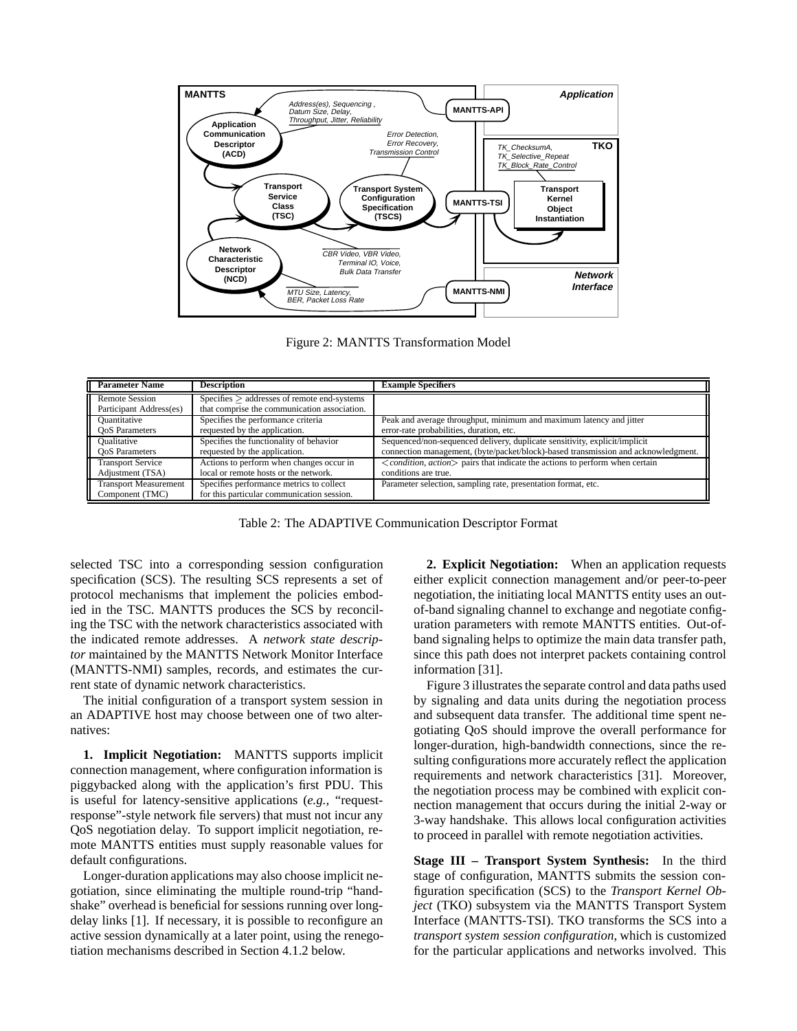

Figure 2: MANTTS Transformation Model

| <b>Parameter Name</b>                            | <b>Description</b>                                                                                  | <b>Example Specifiers</b>                                                                   |
|--------------------------------------------------|-----------------------------------------------------------------------------------------------------|---------------------------------------------------------------------------------------------|
| <b>Remote Session</b><br>Participant Address(es) | $S$ pecifies $\geq$ addresses of remote end-systems<br>that comprise the communication association. |                                                                                             |
| Quantitative                                     | Specifies the performance criteria                                                                  | Peak and average throughput, minimum and maximum latency and jitter                         |
| <b>OoS</b> Parameters                            | requested by the application.                                                                       | error-rate probabilities, duration, etc.                                                    |
| <b>Oualitative</b>                               | Specifies the functionality of behavior                                                             | Sequenced/non-sequenced delivery, duplicate sensitivity, explicit/implicit                  |
| <b>OoS</b> Parameters                            | requested by the application.                                                                       | connection management, (byte/packet/block)-based transmission and acknowledgment.           |
| <b>Transport Service</b>                         | Actions to perform when changes occur in                                                            | $\langle condition, action \rangle$ pairs that indicate the actions to perform when certain |
| Adjustment (TSA)                                 | local or remote hosts or the network.                                                               | conditions are true.                                                                        |
| <b>Transport Measurement</b><br>Component (TMC)  | Specifies performance metrics to collect<br>for this particular communication session.              | Parameter selection, sampling rate, presentation format, etc.                               |

Table 2: The ADAPTIVE Communication Descriptor Format

selected TSC into a corresponding session configuration specification (SCS). The resulting SCS represents a set of protocol mechanisms that implement the policies embodied in the TSC. MANTTS produces the SCS by reconciling the TSC with the network characteristics associated with the indicated remote addresses. A *network state descriptor* maintained by the MANTTS Network Monitor Interface (MANTTS-NMI) samples, records, and estimates the current state of dynamic network characteristics.

The initial configuration of a transport system session in an ADAPTIVE host may choose between one of two alternatives:

**1. Implicit Negotiation:** MANTTS supports implicit connection management, where configuration information is piggybacked along with the application's first PDU. This is useful for latency-sensitive applications (*e.g.,* "requestresponse"-style network file servers) that must not incur any QoS negotiation delay. To support implicit negotiation, remote MANTTS entities must supply reasonable values for default configurations.

Longer-duration applications may also choose implicit negotiation, since eliminating the multiple round-trip "handshake" overhead is beneficial for sessions running over longdelay links [1]. If necessary, it is possible to reconfigure an active session dynamically at a later point, using the renegotiation mechanisms described in Section 4.1.2 below.

**2. Explicit Negotiation:** When an application requests either explicit connection management and/or peer-to-peer negotiation, the initiating local MANTTS entity uses an outof-band signaling channel to exchange and negotiate configuration parameters with remote MANTTS entities. Out-ofband signaling helps to optimize the main data transfer path, since this path does not interpret packets containing control information [31].

Figure 3 illustrates the separate control and data paths used by signaling and data units during the negotiation process and subsequent data transfer. The additional time spent negotiating QoS should improve the overall performance for longer-duration, high-bandwidth connections, since the resulting configurations more accurately reflect the application requirements and network characteristics [31]. Moreover, the negotiation process may be combined with explicit connection management that occurs during the initial 2-way or 3-way handshake. This allows local configuration activities to proceed in parallel with remote negotiation activities.

**Stage III – Transport System Synthesis:** In the third stage of configuration, MANTTS submits the session configuration specification (SCS) to the *Transport Kernel Object* (TKO) subsystem via the MANTTS Transport System Interface (MANTTS-TSI). TKO transforms the SCS into a *transport system session configuration*, which is customized for the particular applications and networks involved. This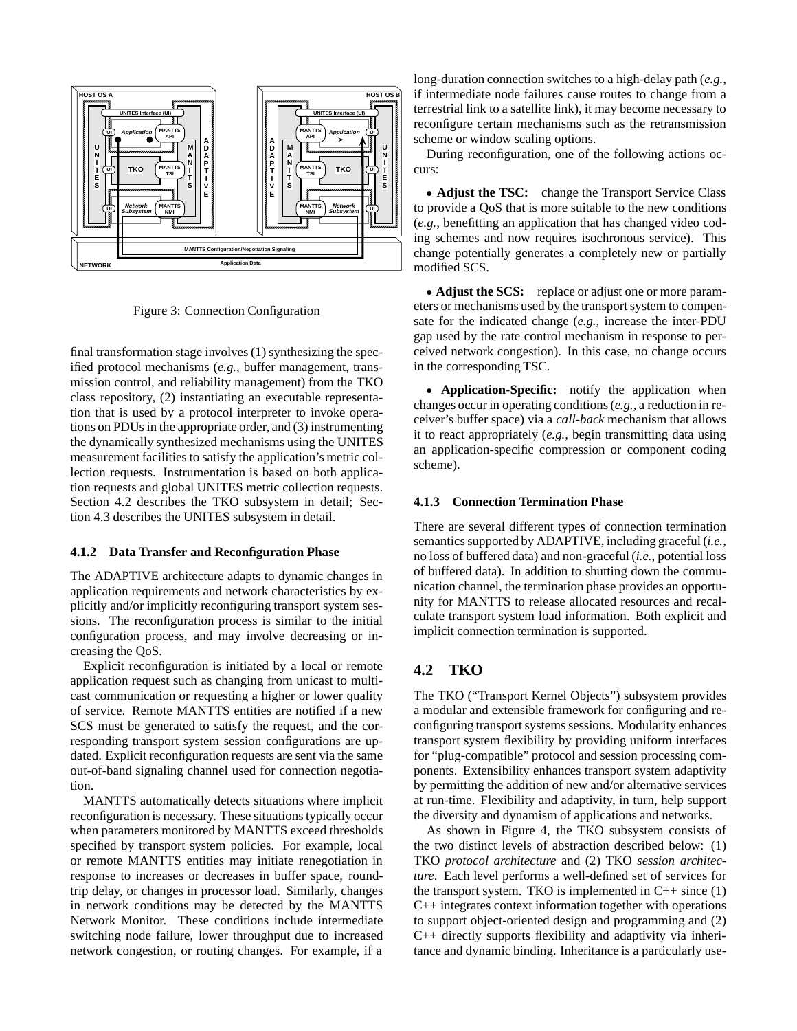

Figure 3: Connection Configuration

final transformation stage involves (1) synthesizing the specified protocol mechanisms (*e.g.,* buffer management, transmission control, and reliability management) from the TKO class repository, (2) instantiating an executable representation that is used by a protocol interpreter to invoke operations on PDUs in the appropriate order, and (3) instrumenting the dynamically synthesized mechanisms using the UNITES measurement facilities to satisfy the application's metric collection requests. Instrumentation is based on both application requests and global UNITES metric collection requests. Section 4.2 describes the TKO subsystem in detail; Section 4.3 describes the UNITES subsystem in detail.

#### **4.1.2 Data Transfer and Reconfiguration Phase**

The ADAPTIVE architecture adapts to dynamic changes in application requirements and network characteristics by explicitly and/or implicitly reconfiguring transport system sessions. The reconfiguration process is similar to the initial configuration process, and may involve decreasing or increasing the QoS.

Explicit reconfiguration is initiated by a local or remote application request such as changing from unicast to multicast communication or requesting a higher or lower quality of service. Remote MANTTS entities are notified if a new SCS must be generated to satisfy the request, and the corresponding transport system session configurations are updated. Explicit reconfiguration requests are sent via the same out-of-band signaling channel used for connection negotiation.

MANTTS automatically detects situations where implicit reconfiguration is necessary. These situations typically occur when parameters monitored by MANTTS exceed thresholds specified by transport system policies. For example, local or remote MANTTS entities may initiate renegotiation in response to increases or decreases in buffer space, roundtrip delay, or changes in processor load. Similarly, changes in network conditions may be detected by the MANTTS Network Monitor. These conditions include intermediate switching node failure, lower throughput due to increased network congestion, or routing changes. For example, if a

long-duration connection switches to a high-delay path (*e.g.,* if intermediate node failures cause routes to change from a terrestrial link to a satellite link), it may become necessary to reconfigure certain mechanisms such as the retransmission scheme or window scaling options.

During reconfiguration, one of the following actions occurs:

 **Adjust the TSC:** change the Transport Service Class to provide a QoS that is more suitable to the new conditions (*e.g.,* benefitting an application that has changed video coding schemes and now requires isochronous service). This change potentially generates a completely new or partially modified SCS.

• Adjust the SCS: replace or adjust one or more parameters or mechanisms used by the transport system to compensate for the indicated change (*e.g.,* increase the inter-PDU gap used by the rate control mechanism in response to perceived network congestion). In this case, no change occurs in the corresponding TSC.

 **Application-Specific:** notify the application when changes occur in operating conditions (*e.g.,* a reduction in receiver's buffer space) via a *call-back* mechanism that allows it to react appropriately (*e.g.,* begin transmitting data using an application-specific compression or component coding scheme).

#### **4.1.3 Connection Termination Phase**

There are several different types of connection termination semantics supported by ADAPTIVE, including graceful (*i.e.,* no loss of buffered data) and non-graceful (*i.e.,* potential loss of buffered data). In addition to shutting down the communication channel, the termination phase provides an opportunity for MANTTS to release allocated resources and recalculate transport system load information. Both explicit and implicit connection termination is supported.

### **4.2 TKO**

The TKO ("Transport Kernel Objects") subsystem provides a modular and extensible framework for configuring and reconfiguring transport systems sessions. Modularity enhances transport system flexibility by providing uniform interfaces for "plug-compatible" protocol and session processing components. Extensibility enhances transport system adaptivity by permitting the addition of new and/or alternative services at run-time. Flexibility and adaptivity, in turn, help support the diversity and dynamism of applications and networks.

As shown in Figure 4, the TKO subsystem consists of the two distinct levels of abstraction described below: (1) TKO *protocol architecture* and (2) TKO *session architecture*. Each level performs a well-defined set of services for the transport system. TKO is implemented in  $C++$  since (1) C++ integrates context information together with operations to support object-oriented design and programming and (2) C++ directly supports flexibility and adaptivity via inheritance and dynamic binding. Inheritance is a particularly use-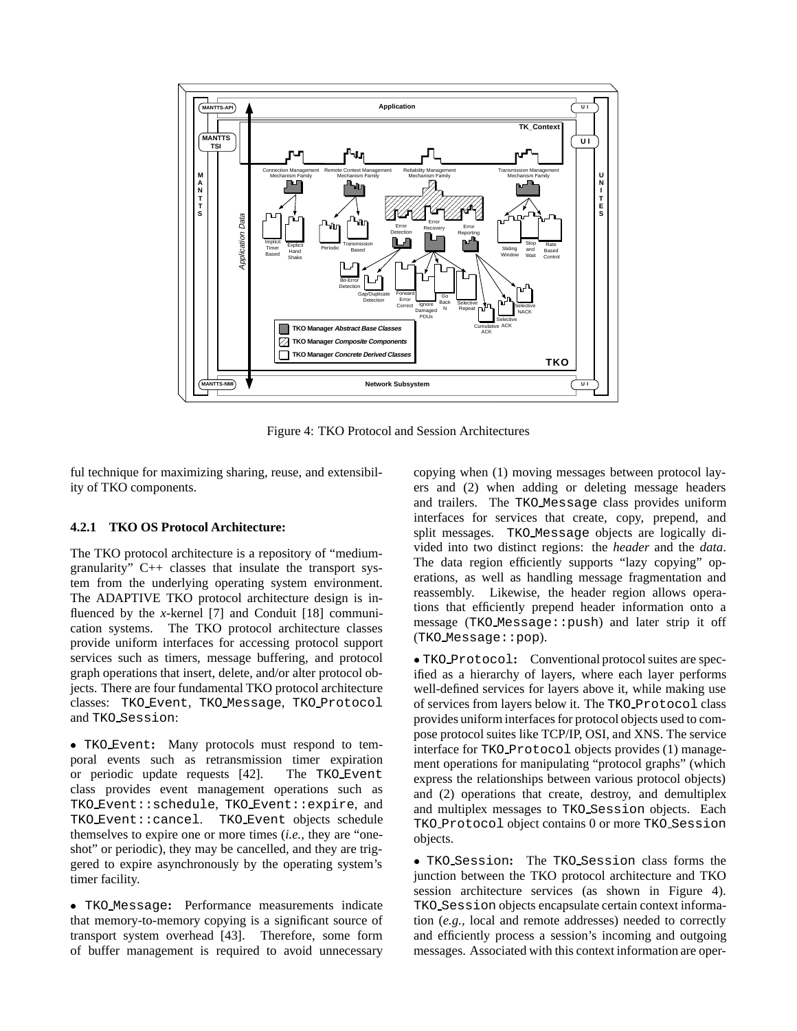

Figure 4: TKO Protocol and Session Architectures

ful technique for maximizing sharing, reuse, and extensibility of TKO components.

#### **4.2.1 TKO OS Protocol Architecture:**

The TKO protocol architecture is a repository of "mediumgranularity" C++ classes that insulate the transport system from the underlying operating system environment. The ADAPTIVE TKO protocol architecture design is influenced by the *x*-kernel [7] and Conduit [18] communication systems. The TKO protocol architecture classes provide uniform interfaces for accessing protocol support services such as timers, message buffering, and protocol graph operations that insert, delete, and/or alter protocol objects. There are four fundamental TKO protocol architecture classes: TKO Event, TKO Message, TKO Protocol and TKO Session:

 TKO Event**:** Many protocols must respond to temporal events such as retransmission timer expiration or periodic update requests [42]. The TKO Event class provides event management operations such as TKO Event::schedule, TKO Event::expire, and TKO Event::cancel. TKO Event objects schedule themselves to expire one or more times (*i.e.,* they are "oneshot" or periodic), they may be cancelled, and they are triggered to expire asynchronously by the operating system's timer facility.

 TKO Message**:** Performance measurements indicate that memory-to-memory copying is a significant source of transport system overhead [43]. Therefore, some form of buffer management is required to avoid unnecessary copying when (1) moving messages between protocol layers and (2) when adding or deleting message headers and trailers. The TKO Message class provides uniform interfaces for services that create, copy, prepend, and split messages. TKO Message objects are logically divided into two distinct regions: the *header* and the *data*. The data region efficiently supports "lazy copying" operations, as well as handling message fragmentation and reassembly. Likewise, the header region allows operations that efficiently prepend header information onto a message (TKO Message::push) and later strip it off (TKO Message::pop).

 TKO Protocol**:** Conventional protocol suites are specified as a hierarchy of layers, where each layer performs well-defined services for layers above it, while making use of services from layers below it. The TKO Protocol class provides uniform interfaces for protocol objects used to compose protocol suites like TCP/IP, OSI, and XNS. The service interface for TKO Protocol objects provides (1) management operations for manipulating "protocol graphs" (which express the relationships between various protocol objects) and (2) operations that create, destroy, and demultiplex and multiplex messages to TKO Session objects. Each TKO Protocol object contains 0 or more TKO Session objects.

 TKO Session**:** The TKO Session class forms the junction between the TKO protocol architecture and TKO session architecture services (as shown in Figure 4). TKO Session objects encapsulate certain context information (*e.g.,* local and remote addresses) needed to correctly and efficiently process a session's incoming and outgoing messages. Associated with this context information are oper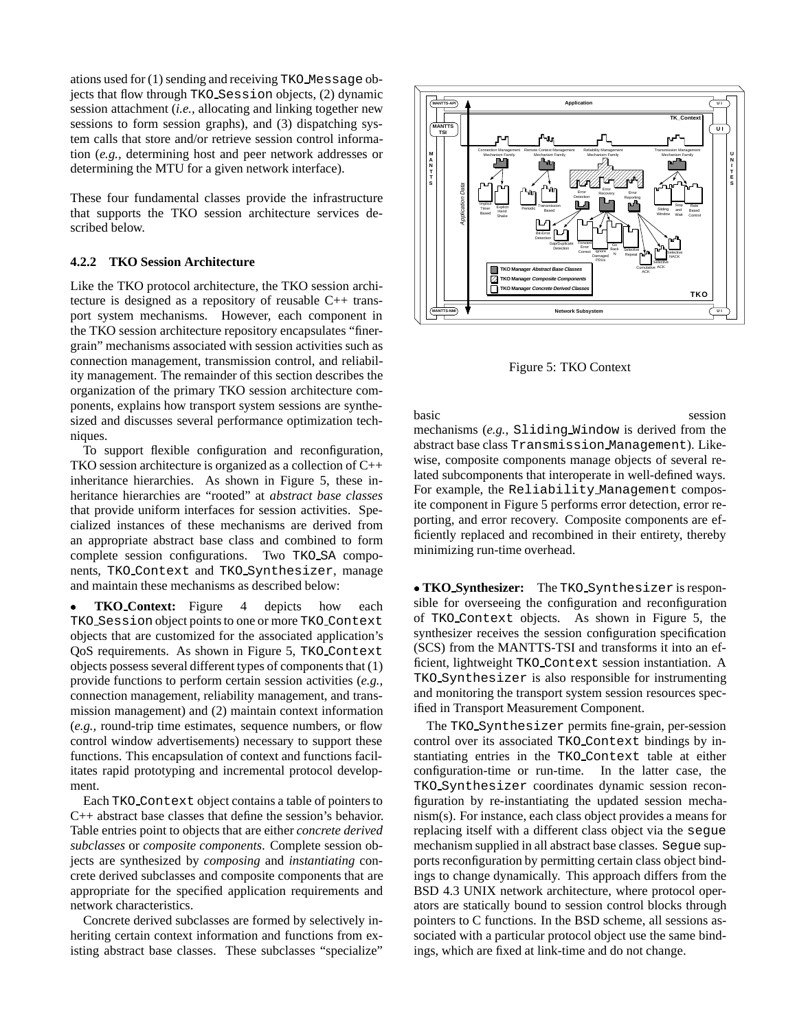ations used for (1) sending and receiving TKO Message objects that flow through TKO Session objects, (2) dynamic session attachment (*i.e.,* allocating and linking together new sessions to form session graphs), and (3) dispatching system calls that store and/or retrieve session control information (*e.g.,* determining host and peer network addresses or determining the MTU for a given network interface).

These four fundamental classes provide the infrastructure that supports the TKO session architecture services described below.

#### **4.2.2 TKO Session Architecture**

Like the TKO protocol architecture, the TKO session architecture is designed as a repository of reusable C++ transport system mechanisms. However, each component in the TKO session architecture repository encapsulates "finergrain" mechanisms associated with session activities such as connection management, transmission control, and reliability management. The remainder of this section describes the organization of the primary TKO session architecture components, explains how transport system sessions are synthesized and discusses several performance optimization techniques.

To support flexible configuration and reconfiguration, TKO session architecture is organized as a collection of C++ inheritance hierarchies. As shown in Figure 5, these inheritance hierarchies are "rooted" at *abstract base classes* that provide uniform interfaces for session activities. Specialized instances of these mechanisms are derived from an appropriate abstract base class and combined to form complete session configurations. Two TKO\_SA components, TKO Context and TKO Synthesizer, manage and maintain these mechanisms as described below:

 **TKO Context:** Figure 4 depicts how each TKO Session object points to one or more TKO Context objects that are customized for the associated application's QoS requirements. As shown in Figure 5, TKO Context objects possess several different types of components that (1) provide functions to perform certain session activities (*e.g.,* connection management, reliability management, and transmission management) and (2) maintain context information (*e.g.,* round-trip time estimates, sequence numbers, or flow control window advertisements) necessary to support these functions. This encapsulation of context and functions facilitates rapid prototyping and incremental protocol development.

Each TKO Context object contains a table of pointers to C++ abstract base classes that define the session's behavior. Table entries point to objects that are either *concrete derived subclasses* or *composite components*. Complete session objects are synthesized by *composing* and *instantiating* concrete derived subclasses and composite components that are appropriate for the specified application requirements and network characteristics.

Concrete derived subclasses are formed by selectively inheriting certain context information and functions from existing abstract base classes. These subclasses "specialize"



Figure 5: TKO Context

basic session mechanisms (*e.g.,* Sliding Window is derived from the abstract base class Transmission Management). Likewise, composite components manage objects of several related subcomponents that interoperate in well-defined ways. For example, the Reliability Management composite component in Figure 5 performs error detection, error reporting, and error recovery. Composite components are efficiently replaced and recombined in their entirety, thereby minimizing run-time overhead.

 **TKO Synthesizer:** The TKO Synthesizer is responsible for overseeing the configuration and reconfiguration of TKO Context objects. As shown in Figure 5, the synthesizer receives the session configuration specification (SCS) from the MANTTS-TSI and transforms it into an efficient, lightweight TKO Context session instantiation. A TKO Synthesizer is also responsible for instrumenting and monitoring the transport system session resources specified in Transport Measurement Component.

The TKO Synthesizer permits fine-grain, per-session control over its associated TKO Context bindings by instantiating entries in the TKO Context table at either configuration-time or run-time. In the latter case, the TKO Synthesizer coordinates dynamic session reconfiguration by re-instantiating the updated session mechanism(s). For instance, each class object provides a means for replacing itself with a different class object via the segue mechanism supplied in all abstract base classes. Segue supports reconfiguration by permitting certain class object bindings to change dynamically. This approach differs from the BSD 4.3 UNIX network architecture, where protocol operators are statically bound to session control blocks through pointers to C functions. In the BSD scheme, all sessions associated with a particular protocol object use the same bindings, which are fixed at link-time and do not change.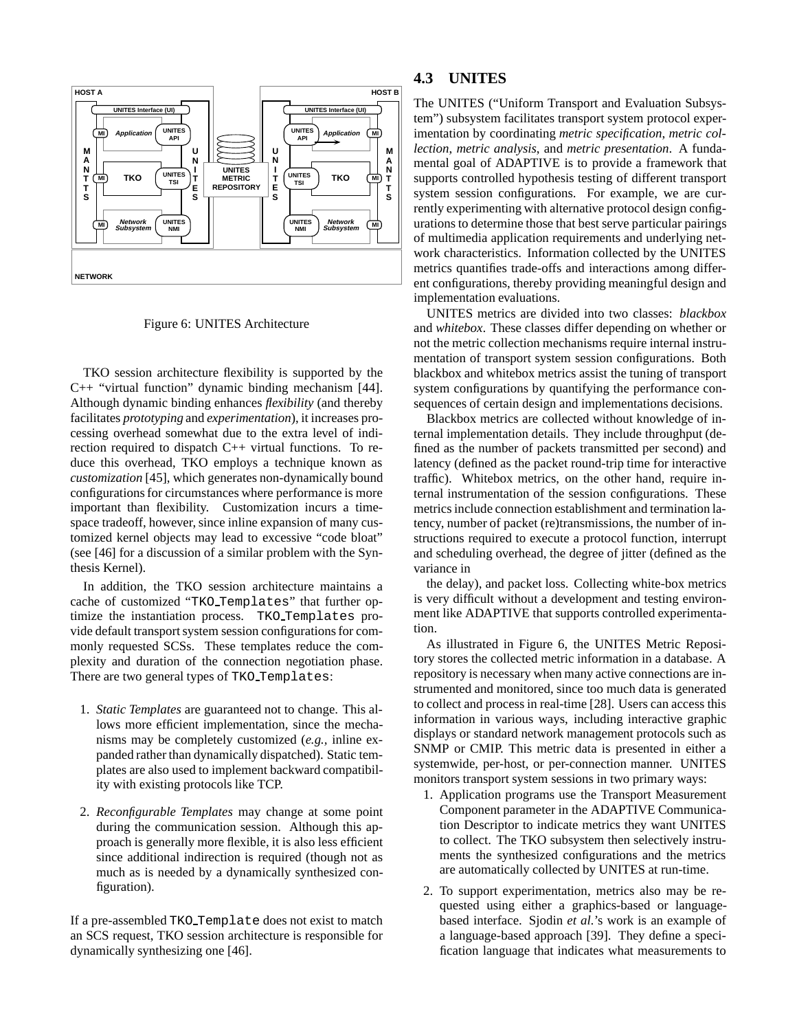

Figure 6: UNITES Architecture

TKO session architecture flexibility is supported by the C++ "virtual function" dynamic binding mechanism [44]. Although dynamic binding enhances *flexibility* (and thereby facilitates *prototyping* and *experimentation*), it increases processing overhead somewhat due to the extra level of indirection required to dispatch C++ virtual functions. To reduce this overhead, TKO employs a technique known as *customization* [45], which generates non-dynamically bound configurations for circumstances where performance is more important than flexibility. Customization incurs a timespace tradeoff, however, since inline expansion of many customized kernel objects may lead to excessive "code bloat" (see [46] for a discussion of a similar problem with the Synthesis Kernel).

In addition, the TKO session architecture maintains a cache of customized "TKO Templates" that further optimize the instantiation process. TKO Templates provide default transport system session configurations for commonly requested SCSs. These templates reduce the complexity and duration of the connection negotiation phase. There are two general types of TKO Templates:

- 1. *Static Templates* are guaranteed not to change. This allows more efficient implementation, since the mechanisms may be completely customized (*e.g.,* inline expanded rather than dynamically dispatched). Static templates are also used to implement backward compatibility with existing protocols like TCP.
- 2. *Reconfigurable Templates* may change at some point during the communication session. Although this approach is generally more flexible, it is also less efficient since additional indirection is required (though not as much as is needed by a dynamically synthesized configuration).

If a pre-assembled TKO Template does not exist to match an SCS request, TKO session architecture is responsible for dynamically synthesizing one [46].

### **4.3 UNITES**

The UNITES ("Uniform Transport and Evaluation Subsystem") subsystem facilitates transport system protocol experimentation by coordinating *metric specification*, *metric collection*, *metric analysis*, and *metric presentation*. A fundamental goal of ADAPTIVE is to provide a framework that supports controlled hypothesis testing of different transport system session configurations. For example, we are currently experimenting with alternative protocol design configurations to determine those that best serve particular pairings of multimedia application requirements and underlying network characteristics. Information collected by the UNITES metrics quantifies trade-offs and interactions among different configurations, thereby providing meaningful design and implementation evaluations.

UNITES metrics are divided into two classes: *blackbox* and *whitebox*. These classes differ depending on whether or not the metric collection mechanisms require internal instrumentation of transport system session configurations. Both blackbox and whitebox metrics assist the tuning of transport system configurations by quantifying the performance consequences of certain design and implementations decisions.

Blackbox metrics are collected without knowledge of internal implementation details. They include throughput (defined as the number of packets transmitted per second) and latency (defined as the packet round-trip time for interactive traffic). Whitebox metrics, on the other hand, require internal instrumentation of the session configurations. These metrics include connection establishment and termination latency, number of packet (re)transmissions, the number of instructions required to execute a protocol function, interrupt and scheduling overhead, the degree of jitter (defined as the variance in

the delay), and packet loss. Collecting white-box metrics is very difficult without a development and testing environment like ADAPTIVE that supports controlled experimentation.

As illustrated in Figure 6, the UNITES Metric Repository stores the collected metric information in a database. A repository is necessary when many active connections are instrumented and monitored, since too much data is generated to collect and process in real-time [28]. Users can access this information in various ways, including interactive graphic displays or standard network management protocols such as SNMP or CMIP. This metric data is presented in either a systemwide, per-host, or per-connection manner. UNITES monitors transport system sessions in two primary ways:

- 1. Application programs use the Transport Measurement Component parameter in the ADAPTIVE Communication Descriptor to indicate metrics they want UNITES to collect. The TKO subsystem then selectively instruments the synthesized configurations and the metrics are automatically collected by UNITES at run-time.
- 2. To support experimentation, metrics also may be requested using either a graphics-based or languagebased interface. Sjodin *et al.*'s work is an example of a language-based approach [39]. They define a specification language that indicates what measurements to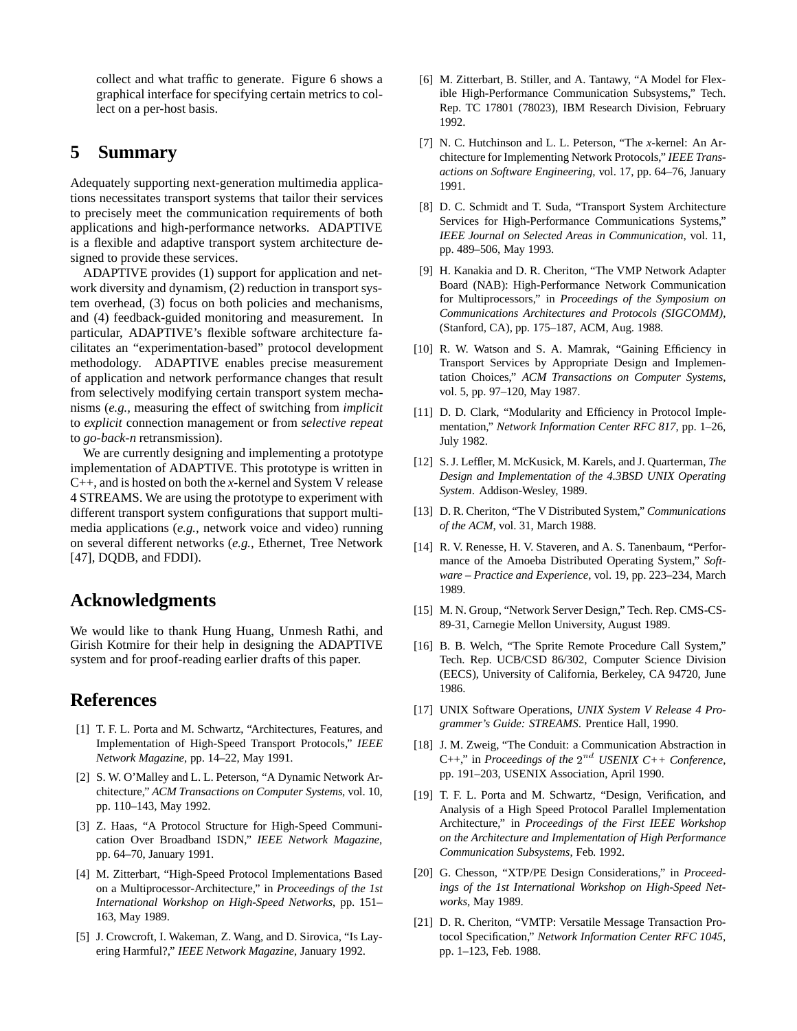collect and what traffic to generate. Figure 6 shows a graphical interface for specifying certain metrics to collect on a per-host basis.

## **5 Summary**

Adequately supporting next-generation multimedia applications necessitates transport systems that tailor their services to precisely meet the communication requirements of both applications and high-performance networks. ADAPTIVE is a flexible and adaptive transport system architecture designed to provide these services.

ADAPTIVE provides (1) support for application and network diversity and dynamism, (2) reduction in transport system overhead, (3) focus on both policies and mechanisms, and (4) feedback-guided monitoring and measurement. In particular, ADAPTIVE's flexible software architecture facilitates an "experimentation-based" protocol development methodology. ADAPTIVE enables precise measurement of application and network performance changes that result from selectively modifying certain transport system mechanisms (*e.g.,* measuring the effect of switching from *implicit* to *explicit* connection management or from *selective repeat* to *go-back-n* retransmission).

We are currently designing and implementing a prototype implementation of ADAPTIVE. This prototype is written in C++, and is hosted on both the *x*-kernel and System V release 4 STREAMS. We are using the prototype to experiment with different transport system configurations that support multimedia applications (*e.g.,* network voice and video) running on several different networks (*e.g.,* Ethernet, Tree Network [47], DQDB, and FDDI).

### **Acknowledgments**

We would like to thank Hung Huang, Unmesh Rathi, and Girish Kotmire for their help in designing the ADAPTIVE system and for proof-reading earlier drafts of this paper.

# **References**

- [1] T. F. L. Porta and M. Schwartz, "Architectures, Features, and Implementation of High-Speed Transport Protocols," *IEEE Network Magazine*, pp. 14–22, May 1991.
- [2] S. W. O'Malley and L. L. Peterson, "A Dynamic Network Architecture," *ACM Transactions on Computer Systems*, vol. 10, pp. 110–143, May 1992.
- [3] Z. Haas, "A Protocol Structure for High-Speed Communication Over Broadband ISDN," *IEEE Network Magazine*, pp. 64–70, January 1991.
- [4] M. Zitterbart, "High-Speed Protocol Implementations Based on a Multiprocessor-Architecture," in *Proceedings of the 1st International Workshop on High-Speed Networks*, pp. 151– 163, May 1989.
- [5] J. Crowcroft, I. Wakeman, Z. Wang, and D. Sirovica, "Is Layering Harmful?," *IEEE Network Magazine*, January 1992.
- [6] M. Zitterbart, B. Stiller, and A. Tantawy, "A Model for Flexible High-Performance Communication Subsystems," Tech. Rep. TC 17801 (78023), IBM Research Division, February 1992.
- [7] N. C. Hutchinson and L. L. Peterson, "The *x*-kernel: An Architecture for Implementing Network Protocols," *IEEE Transactions on Software Engineering*, vol. 17, pp. 64–76, January 1991.
- [8] D. C. Schmidt and T. Suda, "Transport System Architecture Services for High-Performance Communications Systems," *IEEE Journal on Selected Areas in Communication*, vol. 11, pp. 489–506, May 1993.
- [9] H. Kanakia and D. R. Cheriton, "The VMP Network Adapter Board (NAB): High-Performance Network Communication for Multiprocessors," in *Proceedings of the Symposium on Communications Architectures and Protocols (SIGCOMM)*, (Stanford, CA), pp. 175–187, ACM, Aug. 1988.
- [10] R. W. Watson and S. A. Mamrak, "Gaining Efficiency in Transport Services by Appropriate Design and Implementation Choices," *ACM Transactions on Computer Systems*, vol. 5, pp. 97–120, May 1987.
- [11] D. D. Clark, "Modularity and Efficiency in Protocol Implementation," *Network Information Center RFC 817*, pp. 1–26, July 1982.
- [12] S. J. Leffler, M. McKusick, M. Karels, and J. Quarterman, *The Design and Implementation of the 4.3BSD UNIX Operating System*. Addison-Wesley, 1989.
- [13] D. R. Cheriton, "The V Distributed System," *Communications of the ACM*, vol. 31, March 1988.
- [14] R. V. Renesse, H. V. Staveren, and A. S. Tanenbaum, "Performance of the Amoeba Distributed Operating System," *Software – Practice and Experience*, vol. 19, pp. 223–234, March 1989.
- [15] M. N. Group, "Network Server Design," Tech. Rep. CMS-CS-89-31, Carnegie Mellon University, August 1989.
- [16] B. B. Welch, "The Sprite Remote Procedure Call System," Tech. Rep. UCB/CSD 86/302, Computer Science Division (EECS), University of California, Berkeley, CA 94720, June 1986.
- [17] UNIX Software Operations, *UNIX System V Release 4 Programmer's Guide: STREAMS*. Prentice Hall, 1990.
- [18] J. M. Zweig, "The Conduit: a Communication Abstraction in  $C_{++}$ ," in *Proceedings of the*  $2^{nd}$  *USENIX C++ Conference*, pp. 191–203, USENIX Association, April 1990.
- [19] T. F. L. Porta and M. Schwartz, "Design, Verification, and Analysis of a High Speed Protocol Parallel Implementation Architecture," in *Proceedings of the First IEEE Workshop on the Architecture and Implementation of High Performance Communication Subsystems*, Feb. 1992.
- [20] G. Chesson, "XTP/PE Design Considerations," in *Proceedings of the 1st International Workshop on High-Speed Networks*, May 1989.
- [21] D. R. Cheriton, "VMTP: Versatile Message Transaction Protocol Specification," *Network Information Center RFC 1045*, pp. 1–123, Feb. 1988.